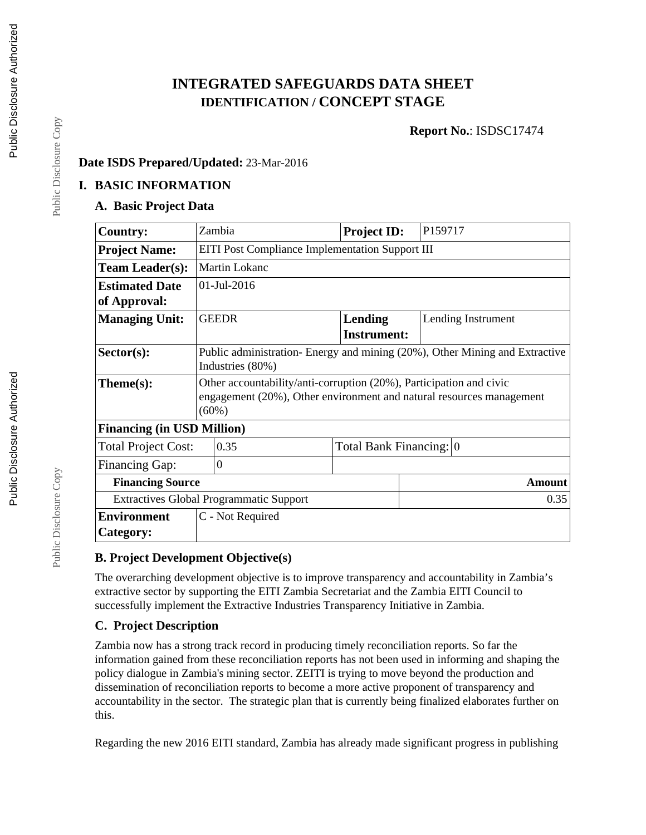# **INTEGRATED SAFEGUARDS DATA SHEET IDENTIFICATION / CONCEPT STAGE**

**Report No.**: ISDSC17474

#### **Date ISDS Prepared/Updated:** 23-Mar-2016

#### **I. BASIC INFORMATION**

### **A. Basic Project Data**

| <b>Country:</b>                                | Zambia                                                                     | <b>Project ID:</b>      | P159717            |  |  |
|------------------------------------------------|----------------------------------------------------------------------------|-------------------------|--------------------|--|--|
| <b>Project Name:</b>                           | <b>EITI Post Compliance Implementation Support III</b>                     |                         |                    |  |  |
| <b>Team Leader(s):</b>                         | <b>Martin Lokanc</b>                                                       |                         |                    |  |  |
| <b>Estimated Date</b>                          | 01-Jul-2016                                                                |                         |                    |  |  |
| of Approval:                                   |                                                                            |                         |                    |  |  |
| <b>Managing Unit:</b>                          | <b>GEEDR</b>                                                               | Lending                 | Lending Instrument |  |  |
|                                                |                                                                            | <b>Instrument:</b>      |                    |  |  |
| $Sector(s)$ :                                  | Public administration-Energy and mining (20%), Other Mining and Extractive |                         |                    |  |  |
|                                                | Industries (80%)                                                           |                         |                    |  |  |
| Theme(s):                                      | Other accountability/anti-corruption (20%), Participation and civic        |                         |                    |  |  |
|                                                | engagement (20%), Other environment and natural resources management       |                         |                    |  |  |
|                                                | $(60\%)$                                                                   |                         |                    |  |  |
| <b>Financing (in USD Million)</b>              |                                                                            |                         |                    |  |  |
| <b>Total Project Cost:</b>                     | 0.35                                                                       | Total Bank Financing: 0 |                    |  |  |
| <b>Financing Gap:</b>                          | $\overline{0}$                                                             |                         |                    |  |  |
| <b>Financing Source</b>                        |                                                                            |                         | <b>Amount</b>      |  |  |
| <b>Extractives Global Programmatic Support</b> |                                                                            |                         | 0.35               |  |  |
| <b>Environment</b>                             | C - Not Required                                                           |                         |                    |  |  |
| Category:                                      |                                                                            |                         |                    |  |  |

#### **B. Project Development Objective(s)**

The overarching development objective is to improve transparency and accountability in Zambia's extractive sector by supporting the EITI Zambia Secretariat and the Zambia EITI Council to successfully implement the Extractive Industries Transparency Initiative in Zambia.

## **C. Project Description**

Zambia now has a strong track record in producing timely reconciliation reports. So far the information gained from these reconciliation reports has not been used in informing and shaping the policy dialogue in Zambia's mining sector. ZEITI is trying to move beyond the production and dissemination of reconciliation reports to become a more active proponent of transparency and accountability in the sector. The strategic plan that is currently being finalized elaborates further on this.

Regarding the new 2016 EITI standard, Zambia has already made significant progress in publishing

Public Disclosure Copy

Public Disclosure Copy

Public Disclosure Copy

Public Disclosure Copy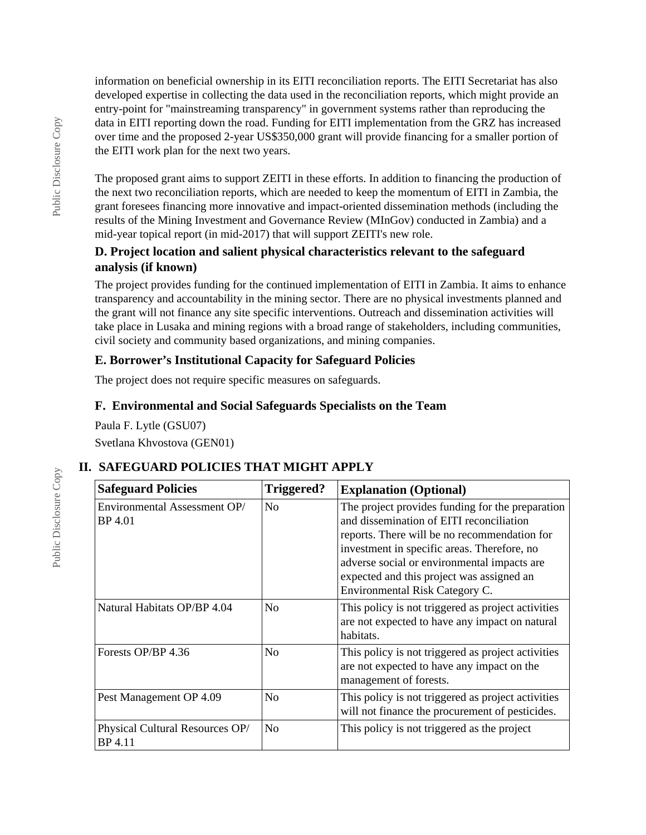information on beneficial ownership in its EITI reconciliation reports. The EITI Secretariat has also developed expertise in collecting the data used in the reconciliation reports, which might provide an entry-point for "mainstreaming transparency" in government systems rather than reproducing the data in EITI reporting down the road. Funding for EITI implementation from the GRZ has increased over time and the proposed 2-year US\$350,000 grant will provide financing for a smaller portion of the EITI work plan for the next two years.

The proposed grant aims to support ZEITI in these efforts. In addition to financing the production of the next two reconciliation reports, which are needed to keep the momentum of EITI in Zambia, the grant foresees financing more innovative and impact-oriented dissemination methods (including the results of the Mining Investment and Governance Review (MInGov) conducted in Zambia) and a mid-year topical report (in mid-2017) that will support ZEITI's new role.

#### **D. Project location and salient physical characteristics relevant to the safeguard analysis (if known)**

The project provides funding for the continued implementation of EITI in Zambia. It aims to enhance transparency and accountability in the mining sector. There are no physical investments planned and the grant will not finance any site specific interventions. Outreach and dissemination activities will take place in Lusaka and mining regions with a broad range of stakeholders, including communities, civil society and community based organizations, and mining companies.

### **E. Borrower's Institutional Capacity for Safeguard Policies**

The project does not require specific measures on safeguards.

### **F. Environmental and Social Safeguards Specialists on the Team**

Paula F. Lytle (GSU07) Svetlana Khvostova (GEN01)

# **II. SAFEGUARD POLICIES THAT MIGHT APPLY**

| <b>Safeguard Policies</b>                  | Triggered?     | <b>Explanation (Optional)</b>                                                                                                                                                                                                                                                                                             |  |
|--------------------------------------------|----------------|---------------------------------------------------------------------------------------------------------------------------------------------------------------------------------------------------------------------------------------------------------------------------------------------------------------------------|--|
| Environmental Assessment OP/<br>BP 4.01    | N <sub>0</sub> | The project provides funding for the preparation<br>and dissemination of EITI reconciliation<br>reports. There will be no recommendation for<br>investment in specific areas. Therefore, no<br>adverse social or environmental impacts are<br>expected and this project was assigned an<br>Environmental Risk Category C. |  |
| Natural Habitats OP/BP 4.04                | N <sub>0</sub> | This policy is not triggered as project activities<br>are not expected to have any impact on natural<br>habitats.                                                                                                                                                                                                         |  |
| Forests OP/BP 4.36                         | N <sub>0</sub> | This policy is not triggered as project activities<br>are not expected to have any impact on the<br>management of forests.                                                                                                                                                                                                |  |
| Pest Management OP 4.09                    | N <sub>0</sub> | This policy is not triggered as project activities<br>will not finance the procurement of pesticides.                                                                                                                                                                                                                     |  |
| Physical Cultural Resources OP/<br>BP 4.11 | N <sub>0</sub> | This policy is not triggered as the project                                                                                                                                                                                                                                                                               |  |